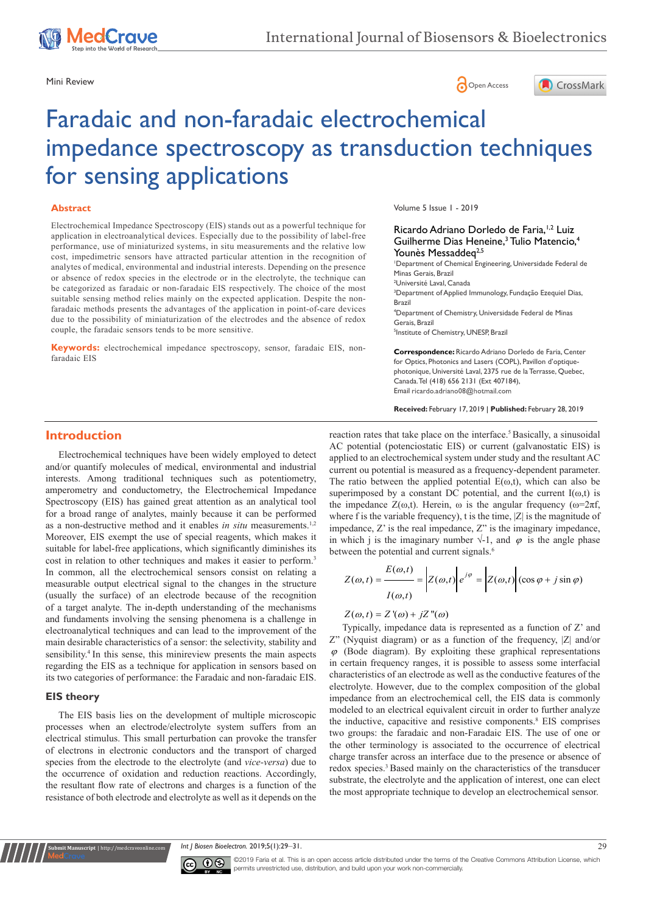





# Faradaic and non-faradaic electrochemical impedance spectroscopy as transduction techniques for sensing applications

## **Abstract**

Electrochemical Impedance Spectroscopy (EIS) stands out as a powerful technique for application in electroanalytical devices. Especially due to the possibility of label-free performance, use of miniaturized systems, in situ measurements and the relative low cost, impedimetric sensors have attracted particular attention in the recognition of analytes of medical, environmental and industrial interests. Depending on the presence or absence of redox species in the electrode or in the electrolyte, the technique can be categorized as faradaic or non-faradaic EIS respectively. The choice of the most suitable sensing method relies mainly on the expected application. Despite the nonfaradaic methods presents the advantages of the application in point-of-care devices due to the possibility of miniaturization of the electrodes and the absence of redox couple, the faradaic sensors tends to be more sensitive.

**Keywords:** electrochemical impedance spectroscopy, sensor, faradaic EIS, nonfaradaic EIS

Volume 5 Issue 1 - 2019

Ricardo Adriano Dorledo de Faria,<sup>1,2</sup> Luiz Guilherme Dias Heneine,<sup>3</sup> Tulio Matencio,<sup>4</sup> Younès Messaddeq<sup>2,5</sup>

1 Department of Chemical Engineering, Universidade Federal de Minas Gerais, Brazil

<sup>2</sup>Université Laval, Canada

<sup>3</sup>Department of Applied Immunology, Fundação Ezequiel Dias, Brazil

4 Department of Chemistry, Universidade Federal de Minas Gerais, Brazil 5 Institute of Chemistry, UNESP, Brazil

**Correspondence:** Ricardo Adriano Dorledo de Faria, Center for Optics, Photonics and Lasers (COPL), Pavillon d'optiquephotonique, Université Laval, 2375 rue de la Terrasse, Quebec, Canada. Tel (418) 656 2131 (Ext 407184), Email ricardo.adriano08@hotmail.com

**Received:** February 17, 2019 | **Published:** February 28, 2019

# **Introduction**

Electrochemical techniques have been widely employed to detect and/or quantify molecules of medical, environmental and industrial interests. Among traditional techniques such as potentiometry, amperometry and conductometry, the Electrochemical Impedance Spectroscopy (EIS) has gained great attention as an analytical tool for a broad range of analytes, mainly because it can be performed as a non-destructive method and it enables *in situ* measurements.<sup>1,2</sup> Moreover, EIS exempt the use of special reagents, which makes it suitable for label-free applications, which significantly diminishes its cost in relation to other techniques and makes it easier to perform.<sup>3</sup> In common, all the electrochemical sensors consist on relating a measurable output electrical signal to the changes in the structure (usually the surface) of an electrode because of the recognition of a target analyte. The in-depth understanding of the mechanisms and fundaments involving the sensing phenomena is a challenge in electroanalytical techniques and can lead to the improvement of the main desirable characteristics of a sensor: the selectivity, stability and sensibility.<sup>4</sup> In this sense, this minireview presents the main aspects regarding the EIS as a technique for application in sensors based on its two categories of performance: the Faradaic and non-faradaic EIS.

## **EIS theory**

**nit Manuscript** | http://medcraveonline.

The EIS basis lies on the development of multiple microscopic processes when an electrode/electrolyte system suffers from an electrical stimulus. This small perturbation can provoke the transfer of electrons in electronic conductors and the transport of charged species from the electrode to the electrolyte (and *vice-versa*) due to the occurrence of oxidation and reduction reactions. Accordingly, the resultant flow rate of electrons and charges is a function of the resistance of both electrode and electrolyte as well as it depends on the

reaction rates that take place on the interface.<sup>5</sup> Basically, a sinusoidal AC potential (potenciostatic EIS) or current (galvanostatic EIS) is applied to an electrochemical system under study and the resultant AC current ou potential is measured as a frequency-dependent parameter. The ratio between the applied potential  $E(\omega, t)$ , which can also be superimposed by a constant DC potential, and the current  $I(\omega,t)$  is the impedance  $Z(\omega,t)$ . Herein,  $\omega$  is the angular frequency ( $\omega=2\pi f$ , where f is the variable frequency), t is the time,  $|Z|$  is the magnitude of impedance, Z' is the real impedance, Z" is the imaginary impedance, in which j is the imaginary number  $\sqrt{-1}$ , and  $\varphi$  is the angle phase between the potential and current signals.<sup>6</sup>

$$
Z(\omega, t) = \frac{E(\omega, t)}{I(\omega, t)} = \left| Z(\omega, t) \right| e^{j\varphi} = \left| Z(\omega, t) \right| (\cos \varphi + j \sin \varphi)
$$

# $Z(\omega, t) = Z'(\omega) + jZ''(\omega)$

Typically, impedance data is represented as a function of Z' and Z" (Nyquist diagram) or as a function of the frequency, |Z| and/or  $\varphi$  (Bode diagram). By exploiting these graphical representations in certain frequency ranges, it is possible to assess some interfacial characteristics of an electrode as well as the conductive features of the electrolyte. However, due to the complex composition of the global impedance from an electrochemical cell, the EIS data is commonly modeled to an electrical equivalent circuit in order to further analyze the inductive, capacitive and resistive components.<sup>8</sup> EIS comprises two groups: the faradaic and non-Faradaic EIS. The use of one or the other terminology is associated to the occurrence of electrical charge transfer across an interface due to the presence or absence of redox species.3 Based mainly on the characteristics of the transducer substrate, the electrolyte and the application of interest, one can elect the most appropriate technique to develop an electrochemical sensor.

*Int J Biosen Bioelectron.* 2019;5(1):29‒31. 29



©2019 Faria et al. This is an open access article distributed under the terms of the [Creative Commons Attribution License](https://creativecommons.org/licenses/by-nc/4.0/), which permits unrestricted use, distribution, and build upon your work non-commercially.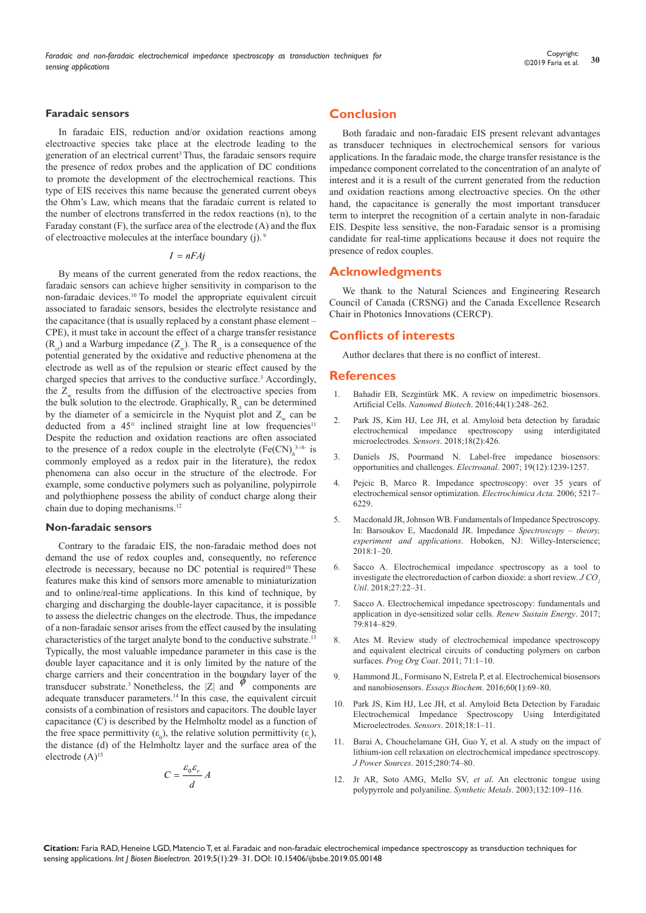## **Faradaic sensors**

In faradaic EIS, reduction and/or oxidation reactions among electroactive species take place at the electrode leading to the generation of an electrical current3 Thus, the faradaic sensors require the presence of redox probes and the application of DC conditions to promote the development of the electrochemical reactions. This type of EIS receives this name because the generated current obeys the Ohm's Law, which means that the faradaic current is related to the number of electrons transferred in the redox reactions (n), to the Faraday constant (F), the surface area of the electrode (A) and the flux of electroactive molecules at the interface boundary (j).

#### $I = nFAj$

By means of the current generated from the redox reactions, the faradaic sensors can achieve higher sensitivity in comparison to the non-faradaic devices.10 To model the appropriate equivalent circuit associated to faradaic sensors, besides the electrolyte resistance and the capacitance (that is usually replaced by a constant phase element – CPE), it must take in account the effect of a charge transfer resistance  $(R_{\alpha})$  and a Warburg impedance  $(Z_{\alpha})$ . The  $R_{\alpha}$  is a consequence of the potential generated by the oxidative and reductive phenomena at the electrode as well as of the repulsion or stearic effect caused by the charged species that arrives to the conductive surface.<sup>3</sup> Accordingly, the  $Z_{\mu}$  results from the diffusion of the electroactive species from the bulk solution to the electrode. Graphically,  $R_{\alpha}$  can be determined by the diameter of a semicircle in the Nyquist plot and  $Z_w$  can be deducted from a 45° inclined straight line at low frequencies<sup>11</sup> Despite the reduction and oxidation reactions are often associated to the presence of a redox couple in the electrolyte  $(Fe(CN)<sub>6</sub><sup>3-4-</sup>$  is commonly employed as a redox pair in the literature), the redox phenomena can also occur in the structure of the electrode. For example, some conductive polymers such as polyaniline, polypirrole and polythiophene possess the ability of conduct charge along their chain due to doping mechanisms.12

## **Non-faradaic sensors**

Contrary to the faradaic EIS, the non-faradaic method does not demand the use of redox couples and, consequently, no reference electrode is necessary, because no DC potential is required<sup>10</sup> These features make this kind of sensors more amenable to miniaturization and to online/real-time applications. In this kind of technique, by charging and discharging the double-layer capacitance, it is possible to assess the dielectric changes on the electrode. Thus, the impedance of a non-faradaic sensor arises from the effect caused by the insulating characteristics of the target analyte bond to the conductive substrate.13 Typically, the most valuable impedance parameter in this case is the double layer capacitance and it is only limited by the nature of the charge carriers and their concentration in the boundary layer of the transducer substrate.<sup>3</sup> Nonetheless, the  $|Z|$  and  $\phi$  components are adequate transducer parameters.14 In this case, the equivalent circuit consists of a combination of resistors and capacitors. The double layer capacitance (C) is described by the Helmholtz model as a function of the free space permittivity  $(\varepsilon_0)$ , the relative solution permittivity  $(\varepsilon_0)$ , the distance (d) of the Helmholtz layer and the surface area of the electrode  $(A)$ <sup>15</sup>

$$
C = \frac{\varepsilon_0 \varepsilon_r}{d} A
$$

# **Conclusion**

Both faradaic and non-faradaic EIS present relevant advantages as transducer techniques in electrochemical sensors for various applications. In the faradaic mode, the charge transfer resistance is the impedance component correlated to the concentration of an analyte of interest and it is a result of the current generated from the reduction and oxidation reactions among electroactive species. On the other hand, the capacitance is generally the most important transducer term to interpret the recognition of a certain analyte in non-faradaic EIS. Despite less sensitive, the non-Faradaic sensor is a promising candidate for real-time applications because it does not require the presence of redox couples.

## **Acknowledgments**

We thank to the Natural Sciences and Engineering Research Council of Canada (CRSNG) and the Canada Excellence Research Chair in Photonics Innovations (CERCP).

## **Conflicts of interests**

Author declares that there is no conflict of interest.

## **References**

- 1. [Bahadir EB, Sezgintürk MK. A review on impedimetric biosensors.](https://www.tandfonline.com/doi/abs/10.3109/21691401.2014.942456)  Artificial Cells. *Nanomed Biotech*[. 2016;44\(1\):248–262.](https://www.tandfonline.com/doi/abs/10.3109/21691401.2014.942456)
- 2. [Park JS, Kim HJ, Lee JH, et al. Amyloid beta detection by faradaic](https://www.ncbi.nlm.nih.gov/pubmed/29389878)  [electrochemical impedance spectroscopy using interdigitated](https://www.ncbi.nlm.nih.gov/pubmed/29389878)  microelectrodes. *Sensors*[. 2018;18\(2\):426.](https://www.ncbi.nlm.nih.gov/pubmed/29389878)
- 3. [Daniels JS, Pourmand N. Label-free impedance biosensors:](https://onlinelibrary.wiley.com/doi/abs/10.1002/elan.200603855)  [opportunities and challenges.](https://onlinelibrary.wiley.com/doi/abs/10.1002/elan.200603855) *Electroanal*. 2007; 19(12):1239-1257.
- Pejcic B, Marco R. Impedance spectroscopy: over 35 years of [electrochemical sensor optimization.](http://research.usc.edu.au/vital/access/manager/Repository/usc:6741) *Electrochimica Acta*. 2006; 5217– [6229.](http://research.usc.edu.au/vital/access/manager/Repository/usc:6741)
- 5. Macdonald JR, Johnson WB. Fundamentals of Impedance Spectroscopy. In: Barsoukov E, Macdonald JR. Impedance *Spectroscopy – theory, experiment and applications*. Hoboken, NJ: Willey-Interscience;  $2018:1-20$
- 6. [Sacco A. Electrochemical impedance spectroscopy as a tool to](https://www.x-mol.com/paper/736124)  [investigate the electroreduction of carbon dioxide: a short review.](https://www.x-mol.com/paper/736124) *J CO*, *Util*[. 2018;27:22–31.](https://www.x-mol.com/paper/736124)
- 7. [Sacco A. Electrochemical impedance spectroscopy: fundamentals and](https://ideas.repec.org/a/eee/rensus/v79y2017icp814-829.html)  [application in dye-sensitized solar cells.](https://ideas.repec.org/a/eee/rensus/v79y2017icp814-829.html) *Renew Sustain Energy*. 2017; [79:814–829.](https://ideas.repec.org/a/eee/rensus/v79y2017icp814-829.html)
- 8. [Ates M. Review study of electrochemical impedance spectroscopy](https://www.sciencedirect.com/science/article/pii/S0300944010003607)  [and equivalent electrical circuits of conducting polymers on carbon](https://www.sciencedirect.com/science/article/pii/S0300944010003607)  surfaces. *Prog Org Coat*[. 2011; 71:1–10.](https://www.sciencedirect.com/science/article/pii/S0300944010003607)
- 9. [Hammond JL, Formisano N, Estrela P, et al.](https://www.ncbi.nlm.nih.gov/pubmed/27365037) Electrochemical biosensors [and nanobiosensors.](https://www.ncbi.nlm.nih.gov/pubmed/27365037) *Essays Biochem*. 2016;60(1):69–80.
- 10. [Park JS, Kim HJ, Lee JH, et al. Amyloid Beta Detection by Faradaic](https://www.ncbi.nlm.nih.gov/pubmed/29389878)  [Electrochemical Impedance Spectroscopy Using Interdigitated](https://www.ncbi.nlm.nih.gov/pubmed/29389878)  [Microelectrodes.](https://www.ncbi.nlm.nih.gov/pubmed/29389878) *Sensors*. 2018;18:1–11.
- 11. [Barai A, Chouchelamane GH, Guo Y, et al.](http://wrap.warwick.ac.uk/66294/) A study on the impact of [lithium-ion cell relaxation on electrochemical impedance spectroscopy.](http://wrap.warwick.ac.uk/66294/)  *J Power Sources*[. 2015;280:74–80.](http://wrap.warwick.ac.uk/66294/)
- 12. [Jr AR, Soto AMG, Mello SV,](https://kundoc.com/pdf-an-electronic-tongue-using-polypyrrole-and-polyaniline-.html) *et al*. An electronic tongue using [polypyrrole and polyaniline.](https://kundoc.com/pdf-an-electronic-tongue-using-polypyrrole-and-polyaniline-.html) *Synthetic Metals*. 2003;132:109–116.

**Citation:** Faria RAD, Heneine LGD, Matencio T, et al. Faradaic and non-faradaic electrochemical impedance spectroscopy as transduction techniques for sensing applications. *Int J Biosen Bioelectron.* 2019;5(1):29‒31. DOI: [10.15406/ijbsbe.2019.05.00148](https://doi.org/10.15406/ijbsbe.2019.05.00148)